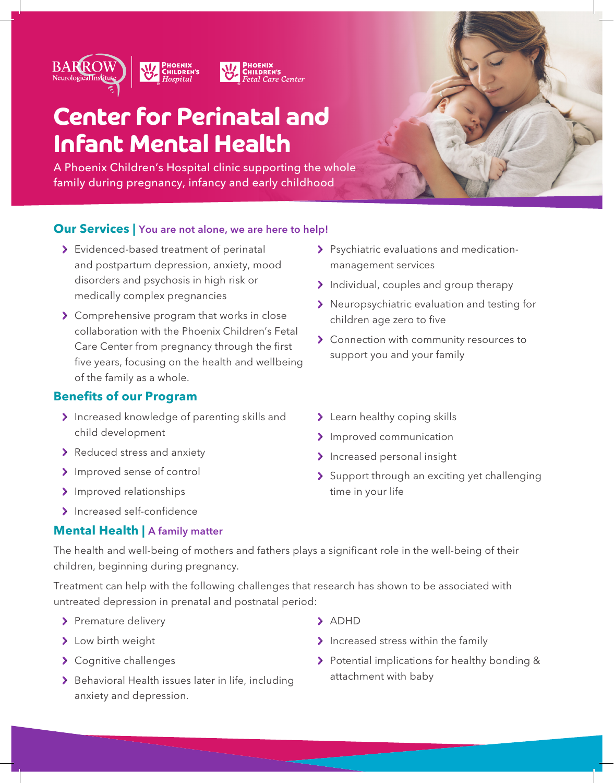

## **Center for Perinatal and Infant Mental Health**

A Phoenix Children's Hospital clinic supporting the whole family during pregnancy, infancy and early childhood



#### **Our Services |** You are not alone, we are here to help!

- Evidenced-based treatment of perinatal and postpartum depression, anxiety, mood disorders and psychosis in high risk or medically complex pregnancies
- S Comprehensive program that works in close collaboration with the Phoenix Children's Fetal Care Center from pregnancy through the first five years, focusing on the health and wellbeing of the family as a whole.

#### **Benefits of our Program**

- > Increased knowledge of parenting skills and child development
- > Reduced stress and anxiety
- > Improved sense of control
- > Improved relationships
- > Increased self-confidence

#### **Mental Health | A family matter**

- Psychiatric evaluations and medicationmanagement services
- Individual, couples and group therapy
- > Neuropsychiatric evaluation and testing for children age zero to five
- > Connection with community resources to support you and your family
- > Learn healthy coping skills
- > Improved communication
- > Increased personal insight
- Support through an exciting yet challenging time in your life

The health and well-being of mothers and fathers plays a significant role in the well-being of their children, beginning during pregnancy.

Treatment can help with the following challenges that research has shown to be associated with untreated depression in prenatal and postnatal period:

- > Premature delivery
- > Low birth weight
- > Cognitive challenges
- > Behavioral Health issues later in life, including anxiety and depression.
- > ADHD
- > Increased stress within the family
- > Potential implications for healthy bonding & attachment with baby